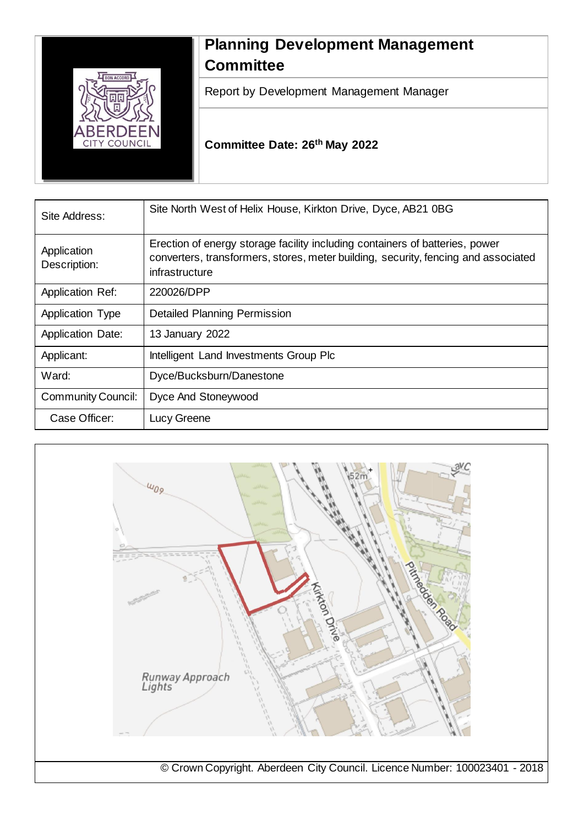

# **Planning Development Management Committee**

Report by Development Management Manager

**Committee Date: 26th May 2022**

| Site Address:               | Site North West of Helix House, Kirkton Drive, Dyce, AB21 0BG                                                                                                                        |
|-----------------------------|--------------------------------------------------------------------------------------------------------------------------------------------------------------------------------------|
| Application<br>Description: | Erection of energy storage facility including containers of batteries, power<br>converters, transformers, stores, meter building, security, fencing and associated<br>infrastructure |
| <b>Application Ref:</b>     | 220026/DPP                                                                                                                                                                           |
| <b>Application Type</b>     | <b>Detailed Planning Permission</b>                                                                                                                                                  |
| <b>Application Date:</b>    | 13 January 2022                                                                                                                                                                      |
| Applicant:                  | Intelligent Land Investments Group Plc                                                                                                                                               |
| Ward:                       | Dyce/Bucksburn/Danestone                                                                                                                                                             |
| <b>Community Council:</b>   | Dyce And Stoneywood                                                                                                                                                                  |
| Case Officer:               | Lucy Greene                                                                                                                                                                          |

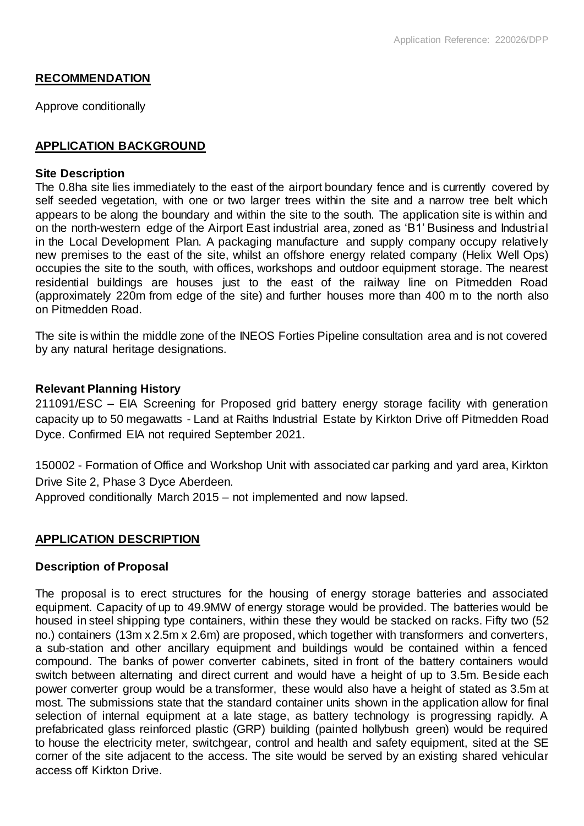# **RECOMMENDATION**

Approve conditionally

# **APPLICATION BACKGROUND**

#### **Site Description**

The 0.8ha site lies immediately to the east of the airport boundary fence and is currently covered by self seeded vegetation, with one or two larger trees within the site and a narrow tree belt which appears to be along the boundary and within the site to the south. The application site is within and on the north-western edge of the Airport East industrial area, zoned as 'B1' Business and Industrial in the Local Development Plan. A packaging manufacture and supply company occupy relatively new premises to the east of the site, whilst an offshore energy related company (Helix Well Ops) occupies the site to the south, with offices, workshops and outdoor equipment storage. The nearest residential buildings are houses just to the east of the railway line on Pitmedden Road (approximately 220m from edge of the site) and further houses more than 400 m to the north also on Pitmedden Road.

The site is within the middle zone of the INEOS Forties Pipeline consultation area and is not covered by any natural heritage designations.

#### **Relevant Planning History**

211091/ESC – EIA Screening for Proposed grid battery energy storage facility with generation capacity up to 50 megawatts - Land at Raiths Industrial Estate by Kirkton Drive off Pitmedden Road Dyce. Confirmed EIA not required September 2021.

150002 - Formation of Office and Workshop Unit with associated car parking and yard area, Kirkton Drive Site 2, Phase 3 Dyce Aberdeen.

Approved conditionally March 2015 – not implemented and now lapsed.

# **APPLICATION DESCRIPTION**

# **Description of Proposal**

The proposal is to erect structures for the housing of energy storage batteries and associated equipment. Capacity of up to 49.9MW of energy storage would be provided. The batteries would be housed in steel shipping type containers, within these they would be stacked on racks. Fifty two (52 no.) containers (13m x 2.5m x 2.6m) are proposed, which together with transformers and converters, a sub-station and other ancillary equipment and buildings would be contained within a fenced compound. The banks of power converter cabinets, sited in front of the battery containers would switch between alternating and direct current and would have a height of up to 3.5m. Beside each power converter group would be a transformer, these would also have a height of stated as 3.5m at most. The submissions state that the standard container units shown in the application allow for final selection of internal equipment at a late stage, as battery technology is progressing rapidly. A prefabricated glass reinforced plastic (GRP) building (painted hollybush green) would be required to house the electricity meter, switchgear, control and health and safety equipment, sited at the SE corner of the site adjacent to the access. The site would be served by an existing shared vehicular access off Kirkton Drive.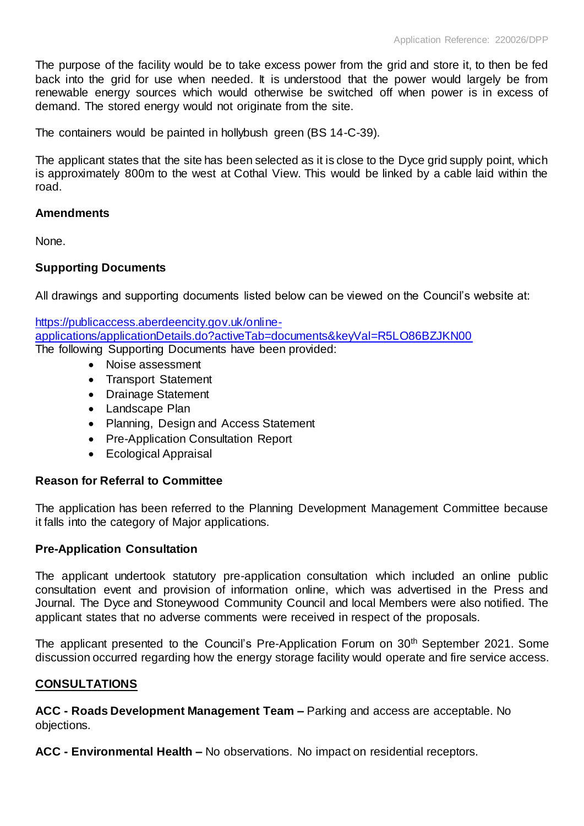The purpose of the facility would be to take excess power from the grid and store it, to then be fed back into the grid for use when needed. It is understood that the power would largely be from renewable energy sources which would otherwise be switched off when power is in excess of demand. The stored energy would not originate from the site.

The containers would be painted in hollybush green (BS 14-C-39).

The applicant states that the site has been selected as it is close to the Dyce grid supply point, which is approximately 800m to the west at Cothal View. This would be linked by a cable laid within the road.

#### **Amendments**

None.

# **Supporting Documents**

All drawings and supporting documents listed below can be viewed on the Council's website at:

[https://publicaccess.aberdeencity.gov.uk/online](https://publicaccess.aberdeencity.gov.uk/online-applications/applicationDetails.do?activeTab=documents&keyVal=R5LO86BZJKN00)[applications/applicationDetails.do?activeTab=documents&keyVal=R5LO86BZJKN00](https://publicaccess.aberdeencity.gov.uk/online-applications/applicationDetails.do?activeTab=documents&keyVal=R5LO86BZJKN00) The following Supporting Documents have been provided:

- Noise assessment
- Transport Statement
- Drainage Statement
- Landscape Plan
- Planning, Design and Access Statement
- Pre-Application Consultation Report
- Ecological Appraisal

# **Reason for Referral to Committee**

The application has been referred to the Planning Development Management Committee because it falls into the category of Major applications.

# **Pre-Application Consultation**

The applicant undertook statutory pre-application consultation which included an online public consultation event and provision of information online, which was advertised in the Press and Journal. The Dyce and Stoneywood Community Council and local Members were also notified. The applicant states that no adverse comments were received in respect of the proposals.

The applicant presented to the Council's Pre-Application Forum on 30<sup>th</sup> September 2021. Some discussion occurred regarding how the energy storage facility would operate and fire service access.

# **CONSULTATIONS**

**ACC - Roads Development Management Team –** Parking and access are acceptable. No objections.

**ACC - Environmental Health –** No observations. No impact on residential receptors.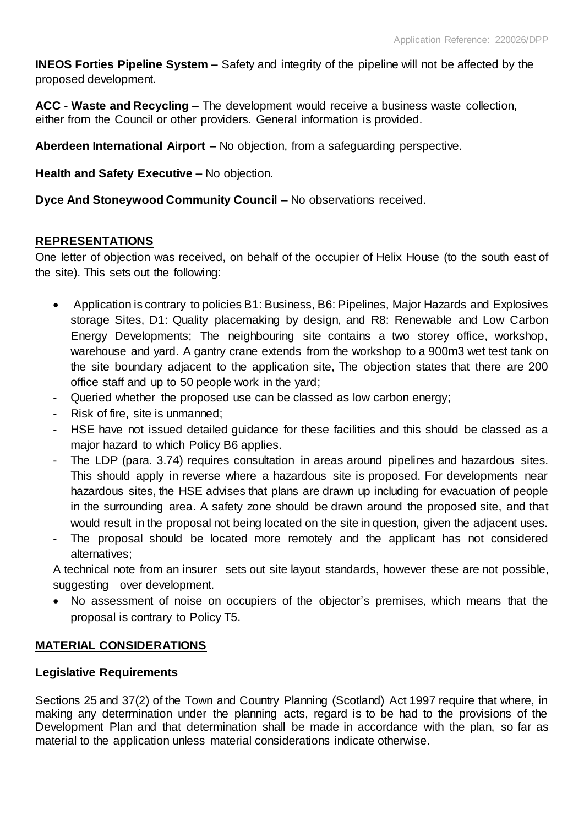**INEOS Forties Pipeline System –** Safety and integrity of the pipeline will not be affected by the proposed development.

**ACC - Waste and Recycling –** The development would receive a business waste collection, either from the Council or other providers. General information is provided.

**Aberdeen International Airport –** No objection, from a safeguarding perspective.

**Health and Safety Executive –** No objection.

**Dyce And Stoneywood Community Council –** No observations received.

# **REPRESENTATIONS**

One letter of objection was received, on behalf of the occupier of Helix House (to the south east of the site). This sets out the following:

- Application is contrary to policies B1: Business, B6: Pipelines, Major Hazards and Explosives storage Sites, D1: Quality placemaking by design, and R8: Renewable and Low Carbon Energy Developments; The neighbouring site contains a two storey office, workshop, warehouse and yard. A gantry crane extends from the workshop to a 900m3 wet test tank on the site boundary adjacent to the application site, The objection states that there are 200 office staff and up to 50 people work in the yard;
- Queried whether the proposed use can be classed as low carbon energy;
- Risk of fire, site is unmanned;
- HSE have not issued detailed guidance for these facilities and this should be classed as a major hazard to which Policy B6 applies.
- The LDP (para. 3.74) requires consultation in areas around pipelines and hazardous sites. This should apply in reverse where a hazardous site is proposed. For developments near hazardous sites, the HSE advises that plans are drawn up including for evacuation of people in the surrounding area. A safety zone should be drawn around the proposed site, and that would result in the proposal not being located on the site in question, given the adjacent uses.
- The proposal should be located more remotely and the applicant has not considered alternatives;

A technical note from an insurer sets out site layout standards, however these are not possible, suggesting over development.

 No assessment of noise on occupiers of the objector's premises, which means that the proposal is contrary to Policy T5.

# **MATERIAL CONSIDERATIONS**

# **Legislative Requirements**

Sections 25 and 37(2) of the Town and Country Planning (Scotland) Act 1997 require that where, in making any determination under the planning acts, regard is to be had to the provisions of the Development Plan and that determination shall be made in accordance with the plan, so far as material to the application unless material considerations indicate otherwise.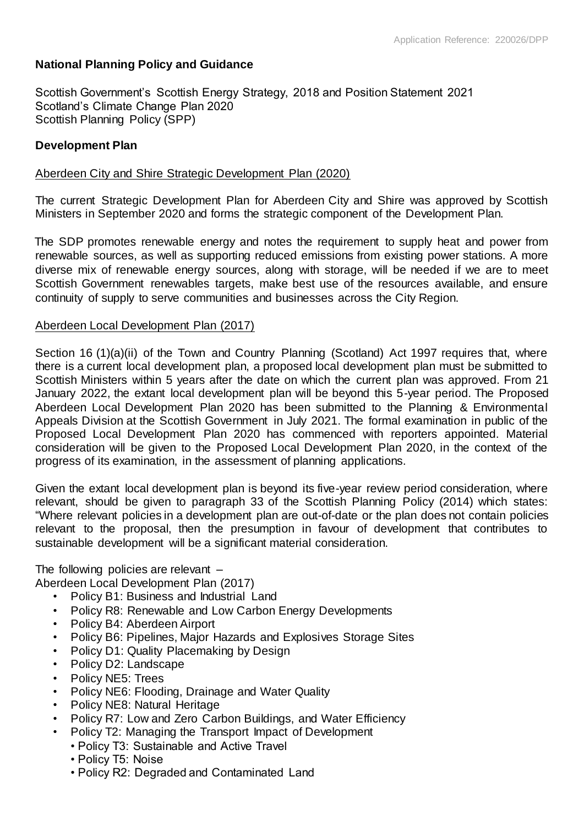# **National Planning Policy and Guidance**

Scottish Government's Scottish Energy Strategy, 2018 and Position Statement 2021 Scotland's Climate Change Plan 2020 Scottish Planning Policy (SPP)

# **Development Plan**

### Aberdeen City and Shire Strategic Development Plan (2020)

The current Strategic Development Plan for Aberdeen City and Shire was approved by Scottish Ministers in September 2020 and forms the strategic component of the Development Plan.

The SDP promotes renewable energy and notes the requirement to supply heat and power from renewable sources, as well as supporting reduced emissions from existing power stations. A more diverse mix of renewable energy sources, along with storage, will be needed if we are to meet Scottish Government renewables targets, make best use of the resources available, and ensure continuity of supply to serve communities and businesses across the City Region.

#### Aberdeen Local Development Plan (2017)

Section 16 (1)(a)(ii) of the Town and Country Planning (Scotland) Act 1997 requires that, where there is a current local development plan, a proposed local development plan must be submitted to Scottish Ministers within 5 years after the date on which the current plan was approved. From 21 January 2022, the extant local development plan will be beyond this 5-year period. The Proposed Aberdeen Local Development Plan 2020 has been submitted to the Planning & Environmental Appeals Division at the Scottish Government in July 2021. The formal examination in public of the Proposed Local Development Plan 2020 has commenced with reporters appointed. Material consideration will be given to the Proposed Local Development Plan 2020, in the context of the progress of its examination, in the assessment of planning applications.

Given the extant local development plan is beyond its five-year review period consideration, where relevant, should be given to paragraph 33 of the Scottish Planning Policy (2014) which states: "Where relevant policies in a development plan are out-of-date or the plan does not contain policies relevant to the proposal, then the presumption in favour of development that contributes to sustainable development will be a significant material consideration.

The following policies are relevant – Aberdeen Local Development Plan (2017)

- Policy B1: Business and Industrial Land
- Policy R8: Renewable and Low Carbon Energy Developments
- Policy B4: Aberdeen Airport
- Policy B6: Pipelines, Major Hazards and Explosives Storage Sites
- Policy D1: Quality Placemaking by Design
- Policy D2: Landscape
- Policy NE5: Trees
- Policy NE6: Flooding, Drainage and Water Quality
- Policy NE8: Natural Heritage
- Policy R7: Low and Zero Carbon Buildings, and Water Efficiency
- Policy T2: Managing the Transport Impact of Development
	- Policy T3: Sustainable and Active Travel
		- Policy T5: Noise
	- Policy R2: Degraded and Contaminated Land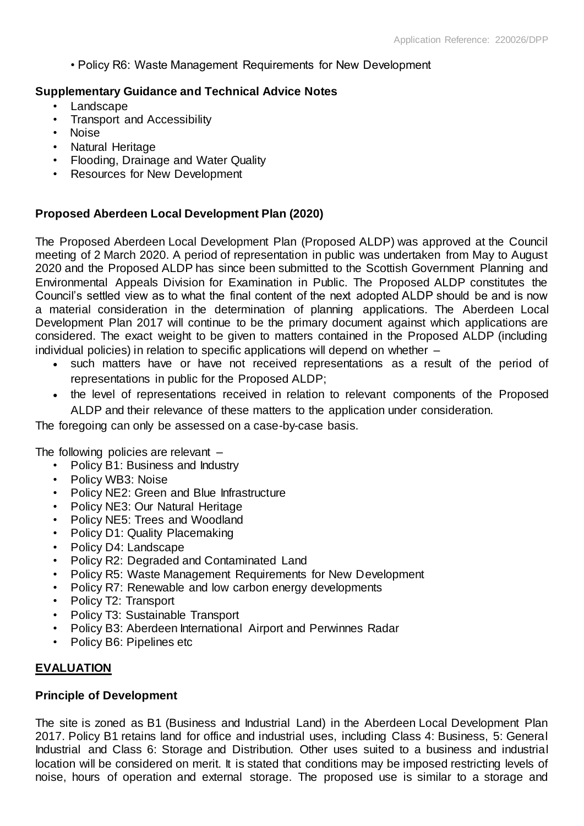• Policy R6: Waste Management Requirements for New Development

# **Supplementary Guidance and Technical Advice Notes**

- **Landscape**
- Transport and Accessibility
- Noise
- Natural Heritage
- Flooding, Drainage and Water Quality
- Resources for New Development

# **Proposed Aberdeen Local Development Plan (2020)**

The Proposed Aberdeen Local Development Plan (Proposed ALDP) was approved at the Council meeting of 2 March 2020. A period of representation in public was undertaken from May to August 2020 and the Proposed ALDP has since been submitted to the Scottish Government Planning and Environmental Appeals Division for Examination in Public. The Proposed ALDP constitutes the Council's settled view as to what the final content of the next adopted ALDP should be and is now a material consideration in the determination of planning applications. The Aberdeen Local Development Plan 2017 will continue to be the primary document against which applications are considered. The exact weight to be given to matters contained in the Proposed ALDP (including individual policies) in relation to specific applications will depend on whether –

- such matters have or have not received representations as a result of the period of representations in public for the Proposed ALDP;
- the level of representations received in relation to relevant components of the Proposed ALDP and their relevance of these matters to the application under consideration.

The foregoing can only be assessed on a case-by-case basis.

The following policies are relevant –

- Policy B1: Business and Industry
- Policy WB3: Noise
- Policy NE2: Green and Blue Infrastructure
- Policy NE3: Our Natural Heritage
- Policy NE5: Trees and Woodland
- Policy D1: Quality Placemaking
- Policy D4: Landscape
- Policy R2: Degraded and Contaminated Land
- Policy R5: Waste Management Requirements for New Development
- Policy R7: Renewable and low carbon energy developments
- Policy T2: Transport
- Policy T3: Sustainable Transport
- Policy B3: Aberdeen International Airport and Perwinnes Radar
- Policy B6: Pipelines etc

# **EVALUATION**

# **Principle of Development**

The site is zoned as B1 (Business and Industrial Land) in the Aberdeen Local Development Plan 2017. Policy B1 retains land for office and industrial uses, including Class 4: Business, 5: General Industrial and Class 6: Storage and Distribution. Other uses suited to a business and industrial location will be considered on merit. It is stated that conditions may be imposed restricting levels of noise, hours of operation and external storage. The proposed use is similar to a storage and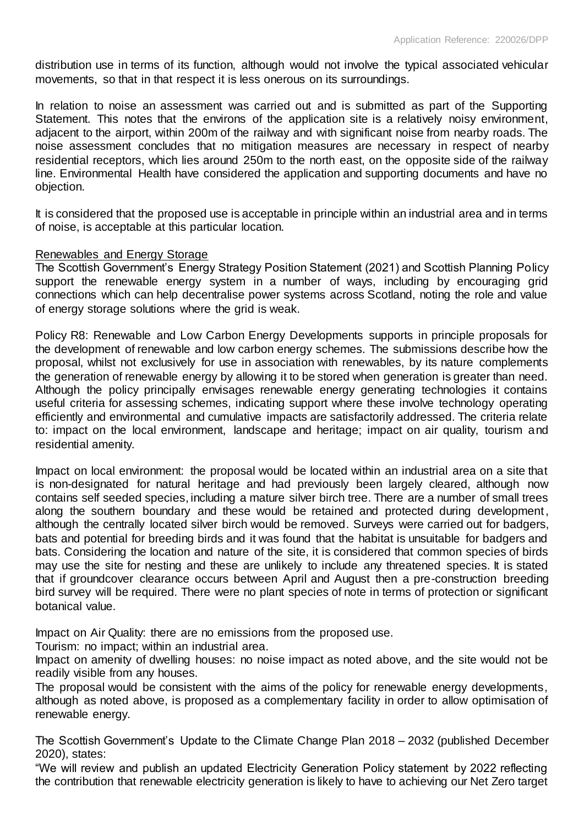distribution use in terms of its function, although would not involve the typical associated vehicular movements, so that in that respect it is less onerous on its surroundings.

In relation to noise an assessment was carried out and is submitted as part of the Supporting Statement. This notes that the environs of the application site is a relatively noisy environment, adjacent to the airport, within 200m of the railway and with significant noise from nearby roads. The noise assessment concludes that no mitigation measures are necessary in respect of nearby residential receptors, which lies around 250m to the north east, on the opposite side of the railway line. Environmental Health have considered the application and supporting documents and have no objection.

It is considered that the proposed use is acceptable in principle within an industrial area and in terms of noise, is acceptable at this particular location.

#### Renewables and Energy Storage

The Scottish Government's Energy Strategy Position Statement (2021) and Scottish Planning Policy support the renewable energy system in a number of ways, including by encouraging grid connections which can help decentralise power systems across Scotland, noting the role and value of energy storage solutions where the grid is weak.

Policy R8: Renewable and Low Carbon Energy Developments supports in principle proposals for the development of renewable and low carbon energy schemes. The submissions describe how the proposal, whilst not exclusively for use in association with renewables, by its nature complements the generation of renewable energy by allowing it to be stored when generation is greater than need. Although the policy principally envisages renewable energy generating technologies it contains useful criteria for assessing schemes, indicating support where these involve technology operating efficiently and environmental and cumulative impacts are satisfactorily addressed. The criteria relate to: impact on the local environment, landscape and heritage; impact on air quality, tourism and residential amenity.

Impact on local environment: the proposal would be located within an industrial area on a site that is non-designated for natural heritage and had previously been largely cleared, although now contains self seeded species, including a mature silver birch tree. There are a number of small trees along the southern boundary and these would be retained and protected during development, although the centrally located silver birch would be removed. Surveys were carried out for badgers, bats and potential for breeding birds and it was found that the habitat is unsuitable for badgers and bats. Considering the location and nature of the site, it is considered that common species of birds may use the site for nesting and these are unlikely to include any threatened species. It is stated that if groundcover clearance occurs between April and August then a pre-construction breeding bird survey will be required. There were no plant species of note in terms of protection or significant botanical value.

Impact on Air Quality: there are no emissions from the proposed use.

Tourism: no impact; within an industrial area.

Impact on amenity of dwelling houses: no noise impact as noted above, and the site would not be readily visible from any houses.

The proposal would be consistent with the aims of the policy for renewable energy developments, although as noted above, is proposed as a complementary facility in order to allow optimisation of renewable energy.

The Scottish Government's Update to the Climate Change Plan 2018 – 2032 (published December 2020), states:

"We will review and publish an updated Electricity Generation Policy statement by 2022 reflecting the contribution that renewable electricity generation is likely to have to achieving our Net Zero target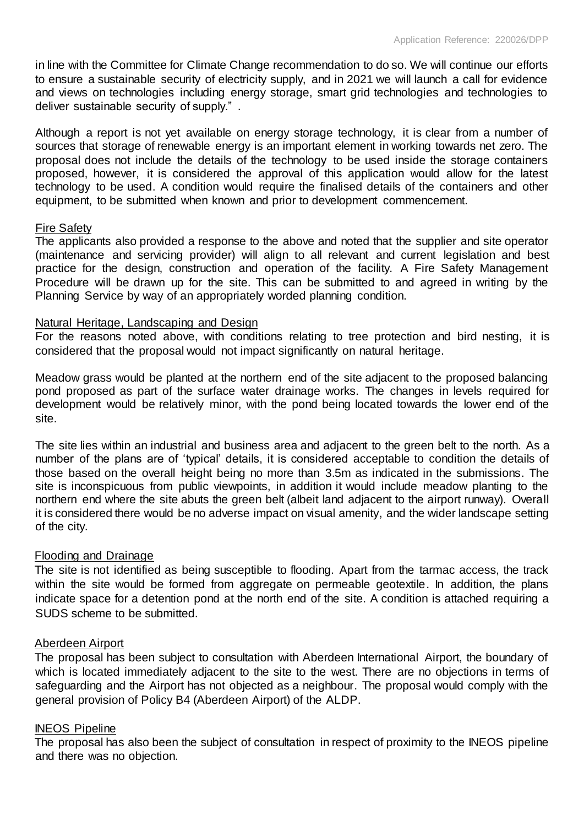in line with the Committee for Climate Change recommendation to do so. We will continue our efforts to ensure a sustainable security of electricity supply, and in 2021 we will launch a call for evidence and views on technologies including energy storage, smart grid technologies and technologies to deliver sustainable security of supply." .

Although a report is not yet available on energy storage technology, it is clear from a number of sources that storage of renewable energy is an important element in working towards net zero. The proposal does not include the details of the technology to be used inside the storage containers proposed, however, it is considered the approval of this application would allow for the latest technology to be used. A condition would require the finalised details of the containers and other equipment, to be submitted when known and prior to development commencement.

#### Fire Safety

The applicants also provided a response to the above and noted that the supplier and site operator (maintenance and servicing provider) will align to all relevant and current legislation and best practice for the design, construction and operation of the facility. A Fire Safety Management Procedure will be drawn up for the site. This can be submitted to and agreed in writing by the Planning Service by way of an appropriately worded planning condition.

#### Natural Heritage, Landscaping and Design

For the reasons noted above, with conditions relating to tree protection and bird nesting, it is considered that the proposal would not impact significantly on natural heritage.

Meadow grass would be planted at the northern end of the site adjacent to the proposed balancing pond proposed as part of the surface water drainage works. The changes in levels required for development would be relatively minor, with the pond being located towards the lower end of the site.

The site lies within an industrial and business area and adjacent to the green belt to the north. As a number of the plans are of 'typical' details, it is considered acceptable to condition the details of those based on the overall height being no more than 3.5m as indicated in the submissions. The site is inconspicuous from public viewpoints, in addition it would include meadow planting to the northern end where the site abuts the green belt (albeit land adjacent to the airport runway). Overall it is considered there would be no adverse impact on visual amenity, and the wider landscape setting of the city.

# Flooding and Drainage

The site is not identified as being susceptible to flooding. Apart from the tarmac access, the track within the site would be formed from aggregate on permeable geotextile. In addition, the plans indicate space for a detention pond at the north end of the site. A condition is attached requiring a SUDS scheme to be submitted.

#### Aberdeen Airport

The proposal has been subject to consultation with Aberdeen International Airport, the boundary of which is located immediately adjacent to the site to the west. There are no objections in terms of safeguarding and the Airport has not objected as a neighbour. The proposal would comply with the general provision of Policy B4 (Aberdeen Airport) of the ALDP.

#### INEOS Pipeline

The proposal has also been the subject of consultation in respect of proximity to the INEOS pipeline and there was no objection.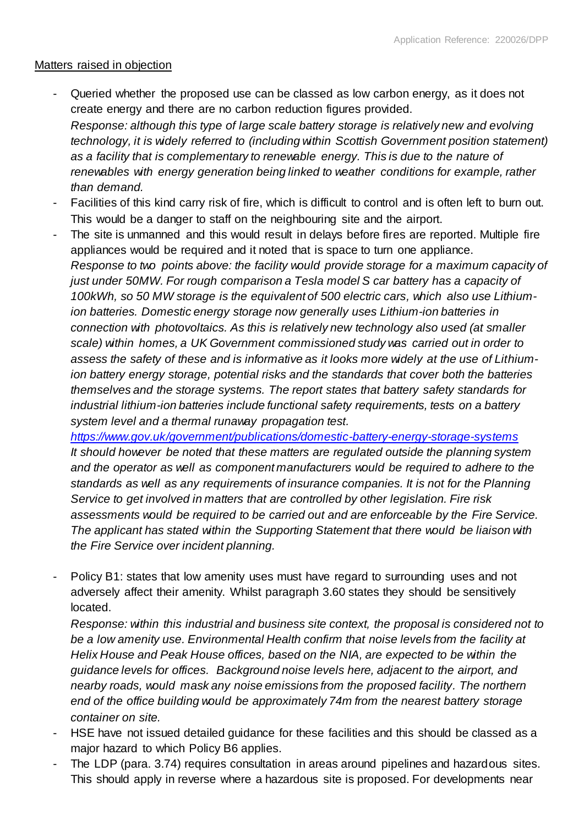# Matters raised in objection

- Queried whether the proposed use can be classed as low carbon energy, as it does not create energy and there are no carbon reduction figures provided. *Response: although this type of large scale battery storage is relatively new and evolving technology, it is widely referred to (including within Scottish Government position statement) as a facility that is complementary to renewable energy. This is due to the nature of renewables with energy generation being linked to weather conditions for example, rather than demand.*
- Facilities of this kind carry risk of fire, which is difficult to control and is often left to burn out. This would be a danger to staff on the neighbouring site and the airport.
- The site is unmanned and this would result in delays before fires are reported. Multiple fire appliances would be required and it noted that is space to turn one appliance. *Response to two points above: the facility would provide storage for a maximum capacity of just under 50MW. For rough comparison a Tesla model S car battery has a capacity of 100kWh, so 50 MW storage is the equivalent of 500 electric cars, which also use Lithiumion batteries. Domestic energy storage now generally uses Lithium-ion batteries in connection with photovoltaics. As this is relatively new technology also used (at smaller scale) within homes, a UK Government commissioned study was carried out in order to assess the safety of these and is informative as it looks more widely at the use of Lithiumion battery energy storage, potential risks and the standards that cover both the batteries themselves and the storage systems. The report states that battery safety standards for industrial lithium-ion batteries include functional safety requirements, tests on a battery system level and a thermal runaway propagation test.*

*<https://www.gov.uk/government/publications/domestic-battery-energy-storage-systems> It should however be noted that these matters are regulated outside the planning system and the operator as well as component manufacturers would be required to adhere to the standards as well as any requirements of insurance companies. It is not for the Planning Service to get involved in matters that are controlled by other legislation. Fire risk assessments would be required to be carried out and are enforceable by the Fire Service. The applicant has stated within the Supporting Statement that there would be liaison with the Fire Service over incident planning.*

Policy B1: states that low amenity uses must have regard to surrounding uses and not adversely affect their amenity. Whilst paragraph 3.60 states they should be sensitively located.

*Response: within this industrial and business site context, the proposal is considered not to be a low amenity use. Environmental Health confirm that noise levels from the facility at Helix House and Peak House offices, based on the NIA, are expected to be within the guidance levels for offices. Background noise levels here, adjacent to the airport, and nearby roads, would mask any noise emissions from the proposed facility. The northern end of the office building would be approximately 74m from the nearest battery storage container on site.*

- HSE have not issued detailed guidance for these facilities and this should be classed as a major hazard to which Policy B6 applies.
- The LDP (para. 3.74) requires consultation in areas around pipelines and hazardous sites. This should apply in reverse where a hazardous site is proposed. For developments near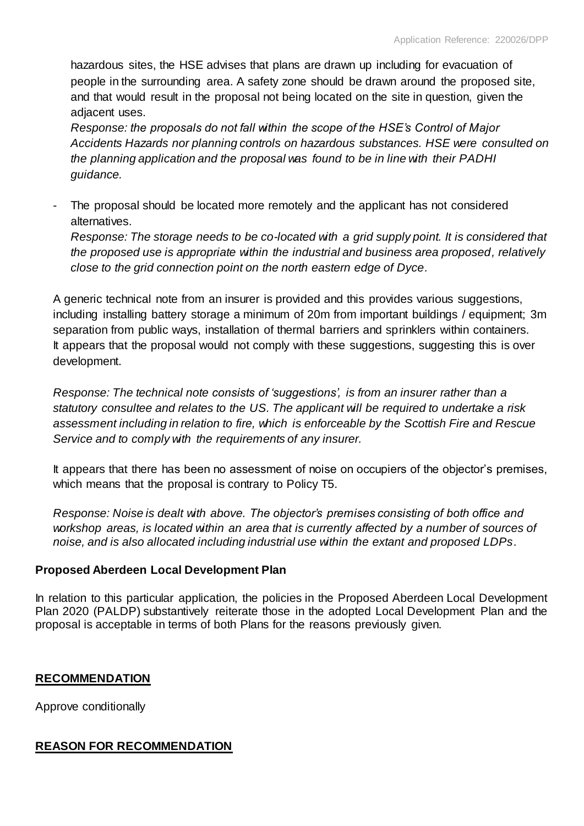hazardous sites, the HSE advises that plans are drawn up including for evacuation of people in the surrounding area. A safety zone should be drawn around the proposed site, and that would result in the proposal not being located on the site in question, given the adjacent uses.

*Response: the proposals do not fall within the scope of the HSE's Control of Major Accidents Hazards nor planning controls on hazardous substances. HSE were consulted on the planning application and the proposal was found to be in line with their PADHI guidance.*

The proposal should be located more remotely and the applicant has not considered alternatives.

*Response: The storage needs to be co-located with a grid supply point. It is considered that the proposed use is appropriate within the industrial and business area proposed, relatively close to the grid connection point on the north eastern edge of Dyce.*

A generic technical note from an insurer is provided and this provides various suggestions, including installing battery storage a minimum of 20m from important buildings / equipment; 3m separation from public ways, installation of thermal barriers and sprinklers within containers. It appears that the proposal would not comply with these suggestions, suggesting this is over development.

*Response: The technical note consists of 'suggestions', is from an insurer rather than a statutory consultee and relates to the US. The applicant will be required to undertake a risk assessment including in relation to fire, which is enforceable by the Scottish Fire and Rescue Service and to comply with the requirements of any insurer.* 

It appears that there has been no assessment of noise on occupiers of the objector's premises, which means that the proposal is contrary to Policy T5.

*Response: Noise is dealt with above. The objector's premises consisting of both office and workshop areas, is located within an area that is currently affected by a number of sources of noise, and is also allocated including industrial use within the extant and proposed LDPs.* 

# **Proposed Aberdeen Local Development Plan**

In relation to this particular application, the policies in the Proposed Aberdeen Local Development Plan 2020 (PALDP) substantively reiterate those in the adopted Local Development Plan and the proposal is acceptable in terms of both Plans for the reasons previously given.

# **RECOMMENDATION**

Approve conditionally

# **REASON FOR RECOMMENDATION**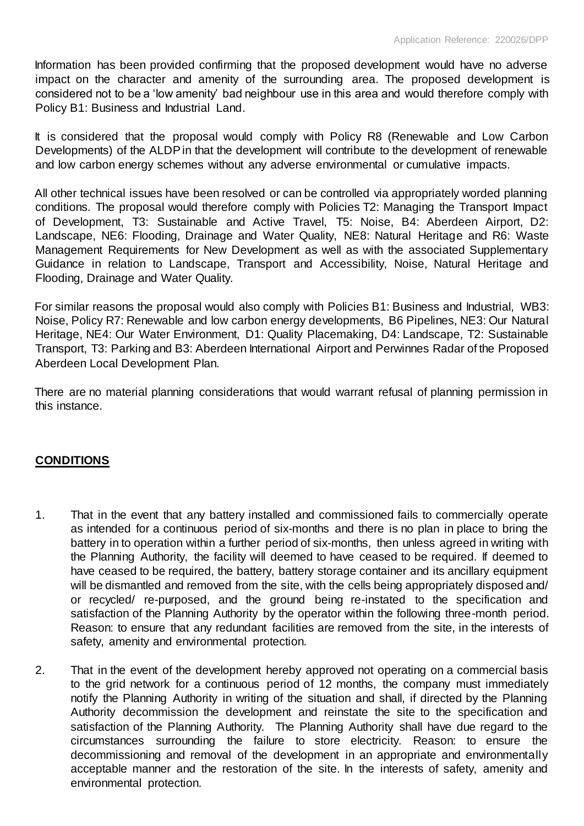Information has been provided confirming that the proposed development would have no adverse impact on the character and amenity of the surrounding area. The proposed development is considered not to be a 'low amenity' bad neighbour use in this area and would therefore comply with Policy B1: Business and Industrial Land.

It is considered that the proposal would comply with Policy R8 (Renewable and Low Carbon Developments) of the ALDP in that the development will contribute to the development of renewable and low carbon energy schemes without any adverse environmental or cumulative impacts.

All other technical issues have been resolved or can be controlled via appropriately worded planning conditions. The proposal would therefore comply with Policies T2: Managing the Transport Impact of Development, T3: Sustainable and Active Travel, T5: Noise, B4: Aberdeen Airport, D2: Landscape, NE6: Flooding, Drainage and Water Quality, NE8: Natural Heritage and R6: Waste Management Requirements for New Development as well as with the associated Supplementary Guidance in relation to Landscape, Transport and Accessibility, Noise, Natural Heritage and Flooding, Drainage and Water Quality.

For similar reasons the proposal would also comply with Policies B1: Business and Industrial, WB3: Noise, Policy R7: Renewable and low carbon energy developments, B6 Pipelines, NE3: Our Natural Heritage, NE4: Our Water Environment, D1: Quality Placemaking, D4: Landscape, T2: Sustainable Transport, T3: Parking and B3: Aberdeen International Airport and Perwinnes Radar of the Proposed Aberdeen Local Development Plan.

There are no material planning considerations that would warrant refusal of planning permission in this instance.

# **CONDITIONS**

- 1. That in the event that any battery installed and commissioned fails to commercially operate as intended for a continuous period of six-months and there is no plan in place to bring the battery in to operation within a further period of six-months, then unless agreed in writing with the Planning Authority, the facility will deemed to have ceased to be required. If deemed to have ceased to be required, the battery, battery storage container and its ancillary equipment will be dismantled and removed from the site, with the cells being appropriately disposed and/ or recycled/ re-purposed, and the ground being re-instated to the specification and satisfaction of the Planning Authority by the operator within the following three-month period. Reason: to ensure that any redundant facilities are removed from the site, in the interests of safety, amenity and environmental protection.
- 2. That in the event of the development hereby approved not operating on a commercial basis to the grid network for a continuous period of 12 months, the company must immediately notify the Planning Authority in writing of the situation and shall, if directed by the Planning Authority decommission the development and reinstate the site to the specification and satisfaction of the Planning Authority. The Planning Authority shall have due regard to the circumstances surrounding the failure to store electricity. Reason: to ensure the decommissioning and removal of the development in an appropriate and environmentally acceptable manner and the restoration of the site. In the interests of safety, amenity and environmental protection.